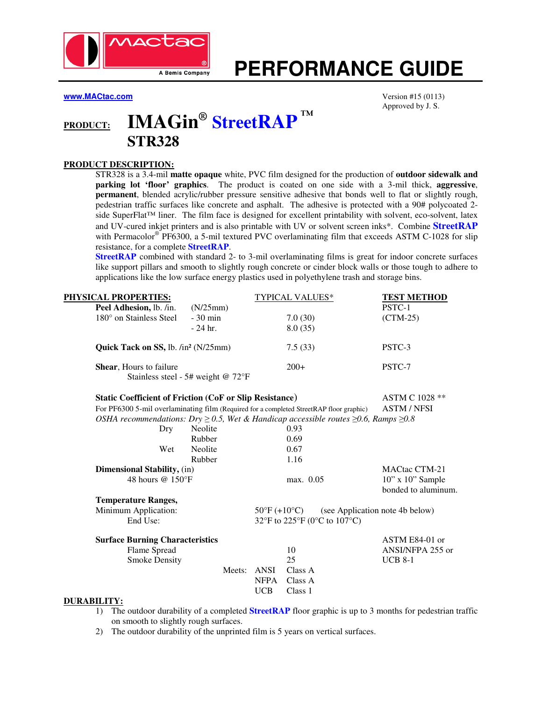

# **PERFORMANCE GUIDE**

**www.MACtac.com** Version #15 (0113)

Approved by J. S.

## **PRODUCT: IMAGin® StreetRAP ™ STR328**

#### **PRODUCT DESCRIPTION:**

STR328 is a 3.4-mil **matte opaque** white, PVC film designed for the production of **outdoor sidewalk and parking lot 'floor' graphics**. The product is coated on one side with a 3-mil thick, **aggressive**, **permanent**, blended acrylic/rubber pressure sensitive adhesive that bonds well to flat or slightly rough, pedestrian traffic surfaces like concrete and asphalt. The adhesive is protected with a 90# polycoated 2 side SuperFlat™ liner. The film face is designed for excellent printability with solvent, eco-solvent, latex and UV-cured inkjet printers and is also printable with UV or solvent screen inks\*. Combine **StreetRAP** with Permacolor® PF6300, a 5-mil textured PVC overlaminating film that exceeds ASTM C-1028 for slip resistance, for a complete **StreetRAP**.

**StreetRAP** combined with standard 2- to 3-mil overlaminating films is great for indoor concrete surfaces like support pillars and smooth to slightly rough concrete or cinder block walls or those tough to adhere to applications like the low surface energy plastics used in polyethylene trash and storage bins.

| PHYSICAL PROPERTIES:                                                                                |                                    |             | <b>TYPICAL VALUES*</b>            | <b>TEST METHOD</b>                          |  |
|-----------------------------------------------------------------------------------------------------|------------------------------------|-------------|-----------------------------------|---------------------------------------------|--|
| Peel Adhesion, lb. /in.                                                                             | (N/25mm)                           |             |                                   | PSTC-1                                      |  |
| 180° on Stainless Steel                                                                             | $-30$ min                          |             | 7.0(30)                           | $(CTM-25)$                                  |  |
|                                                                                                     | $-24$ hr.                          |             | 8.0(35)                           |                                             |  |
| Quick Tack on SS, lb. /in <sup>2</sup> (N/25mm)                                                     |                                    |             | 7.5(33)                           | PSTC-3                                      |  |
| Shear, Hours to failure                                                                             |                                    |             | $200+$                            | PSTC-7                                      |  |
|                                                                                                     | Stainless steel - 5# weight @ 72°F |             |                                   |                                             |  |
| <b>Static Coefficient of Friction (CoF or Slip Resistance)</b>                                      |                                    |             |                                   | ASTM C 1028 **                              |  |
| For PF6300 5-mil overlaminating film (Required for a completed StreetRAP floor graphic)             |                                    |             |                                   | <b>ASTM / NFSI</b>                          |  |
| OSHA recommendations: Dry $\geq$ 0.5, Wet & Handicap accessible routes $\geq$ 0.6, Ramps $\geq$ 0.8 |                                    |             |                                   |                                             |  |
| Dry                                                                                                 | Neolite                            |             | 0.93                              |                                             |  |
|                                                                                                     | Rubber                             |             | 0.69                              |                                             |  |
| Wet                                                                                                 | Neolite                            |             | 0.67                              |                                             |  |
|                                                                                                     | Rubber                             |             | 1.16                              |                                             |  |
| <b>Dimensional Stability, (in)</b>                                                                  |                                    |             |                                   | MACtac CTM-21                               |  |
| 48 hours @ 150°F                                                                                    |                                    |             | max. 0.05                         | $10"$ x $10"$ Sample<br>bonded to aluminum. |  |
| <b>Temperature Ranges,</b>                                                                          |                                    |             |                                   |                                             |  |
| Minimum Application:                                                                                |                                    |             | $50^{\circ}$ F (+10 $^{\circ}$ C) | (see Application note 4b below)             |  |
| End Use:                                                                                            |                                    |             | 32°F to 225°F (0°C to 107°C)      |                                             |  |
| <b>Surface Burning Characteristics</b>                                                              |                                    |             |                                   | ASTM E84-01 or                              |  |
| Flame Spread                                                                                        |                                    |             | 10                                | ANSI/NFPA 255 or                            |  |
| <b>Smoke Density</b>                                                                                |                                    |             | 25                                | <b>UCB 8-1</b>                              |  |
|                                                                                                     |                                    | Meets: ANSI | Class A                           |                                             |  |
|                                                                                                     |                                    | <b>NFPA</b> | Class A                           |                                             |  |
|                                                                                                     |                                    | <b>UCB</b>  | Class 1                           |                                             |  |
| NUD A DII 17W.                                                                                      |                                    |             |                                   |                                             |  |

#### **DURABILITY:**

- 1) The outdoor durability of a completed **StreetRAP** floor graphic is up to 3 months for pedestrian traffic on smooth to slightly rough surfaces.
- 2) The outdoor durability of the unprinted film is 5 years on vertical surfaces.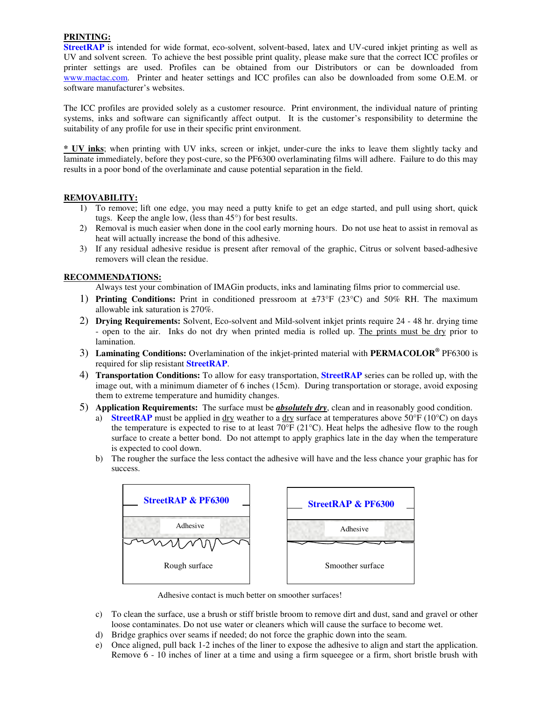#### **PRINTING:**

**StreetRAP** is intended for wide format, eco-solvent, solvent-based, latex and UV-cured inkjet printing as well as UV and solvent screen. To achieve the best possible print quality, please make sure that the correct ICC profiles or printer settings are used. Profiles can be obtained from our Distributors or can be downloaded from www.mactac.com. Printer and heater settings and ICC profiles can also be downloaded from some O.E.M. or software manufacturer's websites.

The ICC profiles are provided solely as a customer resource. Print environment, the individual nature of printing systems, inks and software can significantly affect output. It is the customer's responsibility to determine the suitability of any profile for use in their specific print environment.

**\* UV inks**; when printing with UV inks, screen or inkjet, under-cure the inks to leave them slightly tacky and laminate immediately, before they post-cure, so the PF6300 overlaminating films will adhere. Failure to do this may results in a poor bond of the overlaminate and cause potential separation in the field.

#### **REMOVABILITY:**

- 1) To remove; lift one edge, you may need a putty knife to get an edge started, and pull using short, quick tugs. Keep the angle low, (less than 45°) for best results.
- 2) Removal is much easier when done in the cool early morning hours. Do not use heat to assist in removal as heat will actually increase the bond of this adhesive.
- 3) If any residual adhesive residue is present after removal of the graphic, Citrus or solvent based-adhesive removers will clean the residue.

#### **RECOMMENDATIONS:**

Always test your combination of IMAGin products, inks and laminating films prior to commercial use.

- 1) **Printing Conditions:** Print in conditioned pressroom at ±73°F (23°C) and 50% RH. The maximum allowable ink saturation is 270%.
- 2) **Drying Requirements:** Solvent, Eco-solvent and Mild-solvent inkjet prints require 24 48 hr. drying time - open to the air. Inks do not dry when printed media is rolled up. The prints must be dry prior to lamination.
- 3) **Laminating Conditions:** Overlamination of the inkjet-printed material with **PERMACOLOR®** PF6300 is required for slip resistant **StreetRAP**.
- 4) **Transportation Conditions:** To allow for easy transportation, **StreetRAP** series can be rolled up, with the image out, with a minimum diameter of 6 inches (15cm). During transportation or storage, avoid exposing them to extreme temperature and humidity changes.
- 5) **Application Requirements:** The surface must be *absolutely dry*, clean and in reasonably good condition.
	- a) **StreetRAP** must be applied in dry weather to a dry surface at temperatures above  $50^{\circ}F (10^{\circ}C)$  on days the temperature is expected to rise to at least 70°F (21°C). Heat helps the adhesive flow to the rough surface to create a better bond. Do not attempt to apply graphics late in the day when the temperature is expected to cool down.
	- b) The rougher the surface the less contact the adhesive will have and the less chance your graphic has for success.



Adhesive contact is much better on smoother surfaces!

- c) To clean the surface, use a brush or stiff bristle broom to remove dirt and dust, sand and gravel or other loose contaminates. Do not use water or cleaners which will cause the surface to become wet.
- d) Bridge graphics over seams if needed; do not force the graphic down into the seam.
- e) Once aligned, pull back 1-2 inches of the liner to expose the adhesive to align and start the application. Remove 6 - 10 inches of liner at a time and using a firm squeegee or a firm, short bristle brush with